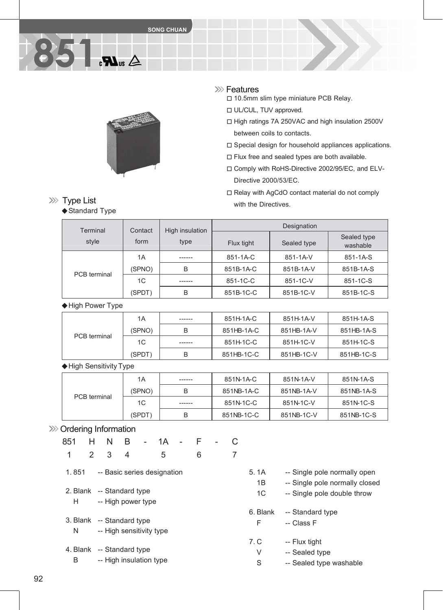

#### **XXX** Features

□ 10.5mm slim type miniature PCB Relay.

- □ UL/CUL, TUV approved.
- □ High ratings 7A 250VAC and high insulation 2500V between coils to contacts.
- □ Special design for household appliances applications.
- □ Flux free and sealed types are both available.
- □ Comply with RoHS-Directive 2002/95/EC, and ELV-Directive 2000/53/EC.
- □ Relay with AgCdO contact material do not comply with the Directives.

| Terminal            | Contact        | High insulation | Designation |             |                         |  |
|---------------------|----------------|-----------------|-------------|-------------|-------------------------|--|
| style               | form           | type            | Flux tight  | Sealed type | Sealed type<br>washable |  |
| <b>PCB</b> terminal | 1A             | ------          | 851-1A-C    | 851-1A-V    | 851-1A-S                |  |
|                     | (SPNO)         | B               | 851B-1A-C   | 851B-1A-V   | 851B-1A-S               |  |
|                     | 1 <sup>C</sup> | ------          | 851-1C-C    | 851-1C-V    | 851-1C-S                |  |
|                     | (SPDT)         | B               | 851B-1C-C   | 851B-1C-V   | 851B-1C-S               |  |

◆High Power Type

**851**

**XXX** Type List

◆ Standard Type

|                     | 1A          | ------ | 851H-1A-C  | 851H-1A-V  | 851H-1A-S  |
|---------------------|-------------|--------|------------|------------|------------|
|                     | (SPNO)<br>B |        | 851HB-1A-C | 851HB-1A-V | 851HB-1A-S |
| <b>PCB</b> terminal | 1C          | ------ | 851H-1C-C  | 851H-1C-V  | 851H-1C-S  |
|                     | (SPDT)      | B      | 851HB-1C-C | 851HB-1C-V | 851HB-1C-S |

◆High Sensitivity Type

|              | 1A     | ------ | 851N-1A-C  | 851N-1A-V  | 851N-1A-S  |
|--------------|--------|--------|------------|------------|------------|
|              | (SPNO) | B      | 851NB-1A-C | 851NB-1A-V | 851NB-1A-S |
| PCB terminal | 1C     | ------ | 851N-1C-C  | 851N-1C-V  | 851N-1C-S  |
|              | (SPDT) | B      | 851NB-1C-C | 851NB-1C-V | 851NB-1C-S |

#### >>>> Ordering Information

| 851                       | H              | N                        | $\mathsf{B}$ | $\omega_{\rm{max}}$ | 1A                          | $\mathbf{r}$ | F |  |                |              |
|---------------------------|----------------|--------------------------|--------------|---------------------|-----------------------------|--------------|---|--|----------------|--------------|
| 1                         | $\overline{2}$ | 3                        | 4            |                     | 5                           |              | 6 |  |                |              |
| 1.851                     |                |                          |              |                     | -- Basic series designation |              |   |  | 5.1A           | -- Single p  |
|                           |                |                          |              |                     |                             |              |   |  | 1B             | -- Single p  |
| 2. Blank -- Standard type |                |                          |              |                     |                             |              |   |  | 1 <sup>C</sup> | -- Single p  |
| H.                        |                | -- High power type       |              |                     |                             |              |   |  |                |              |
|                           |                |                          |              |                     |                             |              |   |  | 6. Blank       | -- Standar   |
| 3. Blank -- Standard type |                |                          |              |                     |                             |              |   |  | F              | -- Class F   |
| N                         |                | -- High sensitivity type |              |                     |                             |              |   |  |                |              |
|                           |                |                          |              |                     |                             |              |   |  | 7. C           | -- Flux tigl |
| 4. Blank -- Standard type |                |                          |              |                     |                             |              |   |  | V              | -- Sealed    |
| B                         |                | -- High insulation type  |              |                     |                             |              |   |  | c              | ۔۔ 2021ء۔    |

- 1A -- Single pole normally open 1B -- Single pole normally closed 1C -- Single pole double throw Blank -- Standard type
- C -- Flux tight
	- V -- Sealed type
	- S -- Sealed type washable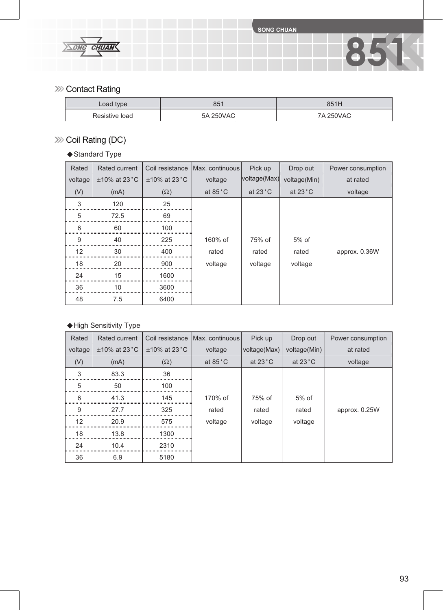**851**



### **>>>>** Contact Rating

| Load type      | 851       | 851H      |
|----------------|-----------|-----------|
| Resistive load | 5A 250VAC | 7A 250VAC |

## >>> Coil Rating (DC)

### ◆ Standard Type

| Rated            | Rated current      | Coil resistance    | Max. continuous   | Pick up           | Drop out          | Power consumption |
|------------------|--------------------|--------------------|-------------------|-------------------|-------------------|-------------------|
| voltage          | $\pm$ 10% at 23 °C | $\pm$ 10% at 23 °C | voltage           | voltage(Max)      | voltage(Min)      | at rated          |
| (V)              | (mA)               | $(\Omega)$         | at $85^{\circ}$ C | at $23^{\circ}$ C | at $23^{\circ}$ C | voltage           |
| $\sqrt{3}$       | 120                | 25                 |                   |                   |                   |                   |
| $\sqrt{5}$       | 72.5               | 69                 |                   |                   |                   |                   |
| $\,6\,$          | 60                 | 100                |                   |                   |                   |                   |
| $\boldsymbol{9}$ | 40                 | 225                | 160% of           | 75% of            | $5%$ of           |                   |
| 12               | 30                 | 400                | rated             | rated             | rated             | approx. 0.36W     |
| 18               | 20                 | 900                | voltage           | voltage           | voltage           |                   |
| 24               | 15                 | 1600               |                   |                   |                   |                   |
| 36               | 10                 | 3600               |                   |                   |                   |                   |
| 48               | 7.5                | 6400               |                   |                   |                   |                   |

### ◆High Sensitivity Type

| Rated            | Rated current      | Coil resistance    | Max. continuous   | Pick up           | Drop out          | Power consumption |
|------------------|--------------------|--------------------|-------------------|-------------------|-------------------|-------------------|
| voltage          | $\pm$ 10% at 23 °C | $\pm$ 10% at 23 °C | voltage           | voltage(Max)      | voltage(Min)      | at rated          |
| (V)              | (mA)               | $(\Omega)$         | at $85^{\circ}$ C | at $23^{\circ}$ C | at $23^{\circ}$ C | voltage           |
| 3                | 83.3               | 36                 |                   |                   |                   |                   |
| 5                | 50                 | 100                |                   |                   |                   |                   |
| 6                | 41.3               | 145                | 170% of           | 75% of            | 5% of             |                   |
| $\boldsymbol{9}$ | 27.7               | 325                | rated             | rated             | rated             | approx. 0.25W     |
| 12               | 20.9               | 575                | voltage           | voltage           | voltage           |                   |
| 18               | 13.8               | 1300               |                   |                   |                   |                   |
| 24               | 10.4               | 2310               |                   |                   |                   |                   |
| 36               | 6.9                | 5180               |                   |                   |                   |                   |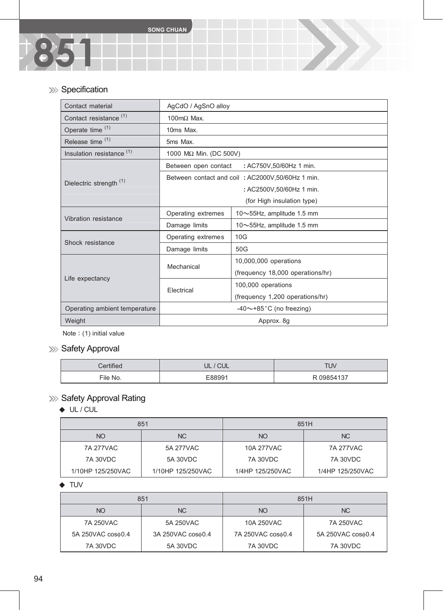## >>> Specification

**851**

| Contact material                     | AgCdO / AgSnO alloy         |                                                  |  |  |
|--------------------------------------|-----------------------------|--------------------------------------------------|--|--|
| Contact resistance <sup>(1)</sup>    | $100 \text{m}\Omega$ Max.   |                                                  |  |  |
| Operate time <sup>(1)</sup>          | 10ms Max.                   |                                                  |  |  |
| Release time <sup>(1)</sup>          | 5ms Max.                    |                                                  |  |  |
| Insulation resistance <sup>(1)</sup> | 1000 MΩ Min. (DC 500V)      |                                                  |  |  |
|                                      | Between open contact        | : AC750V,50/60Hz 1 min.                          |  |  |
| Dielectric strength <sup>(1)</sup>   |                             | Between contact and coil: AC2000V,50/60Hz 1 min. |  |  |
|                                      | : AC2500V,50/60Hz 1 min.    |                                                  |  |  |
|                                      | (for High insulation type)  |                                                  |  |  |
| Vibration resistance                 | Operating extremes          | 10~55Hz, amplitude 1.5 mm                        |  |  |
|                                      | Damage limits               | 10~55Hz, amplitude 1.5 mm                        |  |  |
| Shock resistance                     | Operating extremes          | 10G                                              |  |  |
|                                      | Damage limits               | 50G                                              |  |  |
|                                      | Mechanical                  | 10,000,000 operations                            |  |  |
| Life expectancy                      |                             | (frequency 18,000 operations/hr)                 |  |  |
|                                      | Electrical                  | 100,000 operations                               |  |  |
|                                      |                             | (frequency 1,200 operations/hr)                  |  |  |
| Operating ambient temperature        | $-40$ ~+85 °C (no freezing) |                                                  |  |  |
| Weight                               |                             | Approx. 8g                                       |  |  |

Note: (1) initial value

# **>>>** Safety Approval

| 1.001    | ◡└    | <b>TUV</b>          |
|----------|-------|---------------------|
| File No. | 00001 | R 09854137<br>1 J 1 |

# **>>>** Safety Approval Rating

### ◆ UL / CUL

|                   | 851               |                  | 851H             |
|-------------------|-------------------|------------------|------------------|
| <b>NO</b>         | NC.               | NO.              | NC               |
| 7A 277VAC         | 5A 277VAC         | 10A 277VAC       | 7A 277VAC        |
| 7A 30VDC          | 5A 30VDC          | 7A 30VDC         | 7A 30VDC         |
| 1/10HP 125/250VAC | 1/10HP 125/250VAC | 1/4HP 125/250VAC | 1/4HP 125/250VAC |

#### ◆ TUV

|                   | 851               |                   | 851H              |
|-------------------|-------------------|-------------------|-------------------|
| <b>NO</b>         | NC.               | NO                | NC.               |
| 7A 250VAC         | 5A 250VAC         | 10A 250VAC        | 7A 250VAC         |
| 5A 250VAC cos¢0.4 | 3A 250VAC cos¢0.4 | 7A 250VAC cos¢0.4 | 5A 250VAC cos¢0.4 |
| <b>7A 30VDC</b>   | 5A 30VDC          | <b>7A 30VDC</b>   | <b>7A 30VDC</b>   |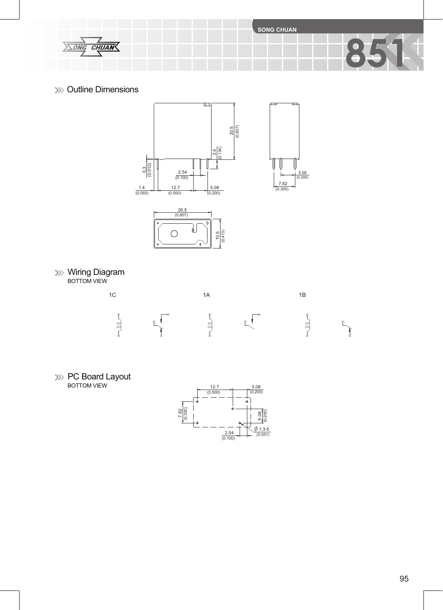$rac{Z}{C$ HUAN  $\sqrt{\triangle ONG}$ 

**SONG CHUAN**

 $\frac{7.62}{(0.300)}$ 

 $\frac{5.08}{(0.200)}$ 

Đ

### **XXX** Outline Dimensions





Wiring Diagram BOTTOM VIEW



PC Board Layout BOTTOM VIEW



**851**